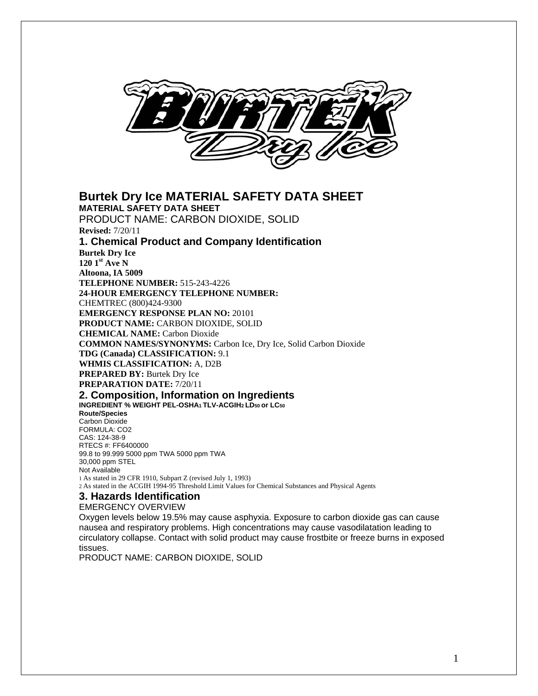

# **Burtek Dry Ice MATERIAL SAFETY DATA SHEET**

**MATERIAL SAFETY DATA SHEET**  PRODUCT NAME: CARBON DIOXIDE, SOLID **Revised:** 7/20/11 **1. Chemical Product and Company Identification Burtek Dry Ice 120 1st Ave N Altoona, IA 5009 TELEPHONE NUMBER:** 515-243-4226 **24-HOUR EMERGENCY TELEPHONE NUMBER:**  CHEMTREC (800)424-9300 **EMERGENCY RESPONSE PLAN NO:** 20101 **PRODUCT NAME:** CARBON DIOXIDE, SOLID **CHEMICAL NAME:** Carbon Dioxide **COMMON NAMES/SYNONYMS:** Carbon Ice, Dry Ice, Solid Carbon Dioxide **TDG (Canada) CLASSIFICATION:** 9.1 **WHMIS CLASSIFICATION:** A, D2B **PREPARED BY:** Burtek Dry Ice **PREPARATION DATE:** 7/20/11 **2. Composition, Information on Ingredients INGREDIENT % WEIGHT PEL-OSHA1 TLV-ACGIH2 LD50 or LC50 Route/Species** 

Carbon Dioxide FORMULA: CO2 CAS: 124-38-9 RTECS #: FF6400000 99.8 to 99.999 5000 ppm TWA 5000 ppm TWA 30,000 ppm STEL Not Available 1 As stated in 29 CFR 1910, Subpart Z (revised July 1, 1993) 2 As stated in the ACGIH 1994-95 Threshold Limit Values for Chemical Substances and Physical Agents

# **3. Hazards Identification**

EMERGENCY OVERVIEW

Oxygen levels below 19.5% may cause asphyxia. Exposure to carbon dioxide gas can cause nausea and respiratory problems. High concentrations may cause vasodilatation leading to circulatory collapse. Contact with solid product may cause frostbite or freeze burns in exposed tissues.

PRODUCT NAME: CARBON DIOXIDE, SOLID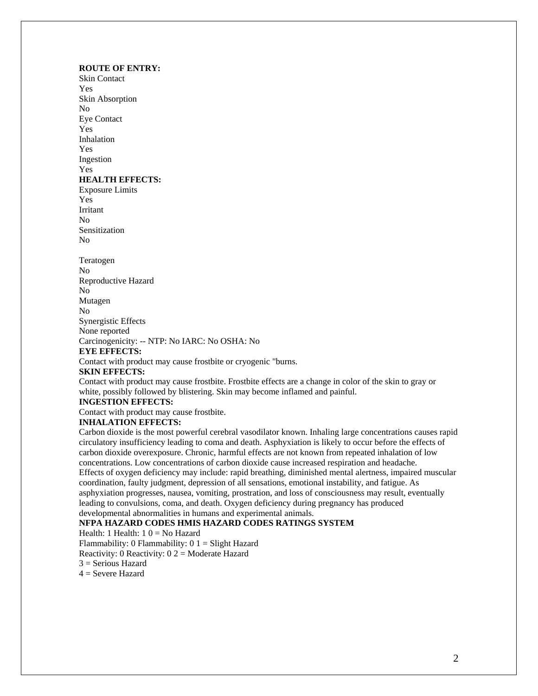**ROUTE OF ENTRY:**  Skin Contact Yes Skin Absorption No Eye Contact Yes Inhalation Yes Ingestion Yes **HEALTH EFFECTS:**  Exposure Limits Yes Irritant No Sensitization No Teratogen No Reproductive Hazard No Mutagen No Synergistic Effects None reported Carcinogenicity: -- NTP: No IARC: No OSHA: No **EYE EFFECTS:**  Contact with product may cause frostbite or cryogenic "burns. **SKIN EFFECTS:**  Contact with product may cause frostbite. Frostbite effects are a change in color of the skin to gray or white, possibly followed by blistering. Skin may become inflamed and painful. **INGESTION EFFECTS:**  Contact with product may cause frostbite.

#### **INHALATION EFFECTS:**

Carbon dioxide is the most powerful cerebral vasodilator known. Inhaling large concentrations causes rapid circulatory insufficiency leading to coma and death. Asphyxiation is likely to occur before the effects of carbon dioxide overexposure. Chronic, harmful effects are not known from repeated inhalation of low concentrations. Low concentrations of carbon dioxide cause increased respiration and headache. Effects of oxygen deficiency may include: rapid breathing, diminished mental alertness, impaired muscular coordination, faulty judgment, depression of all sensations, emotional instability, and fatigue. As asphyxiation progresses, nausea, vomiting, prostration, and loss of consciousness may result, eventually leading to convulsions, coma, and death. Oxygen deficiency during pregnancy has produced developmental abnormalities in humans and experimental animals.

2

## **NFPA HAZARD CODES HMIS HAZARD CODES RATINGS SYSTEM**

Health: 1 Health:  $10 = No$  Hazard Flammability:  $0$  Flammability:  $0$   $1 =$  Slight Hazard Reactivity: 0 Reactivity:  $0 \ 2 =$  Moderate Hazard 3 = Serious Hazard

 $4 =$  Severe Hazard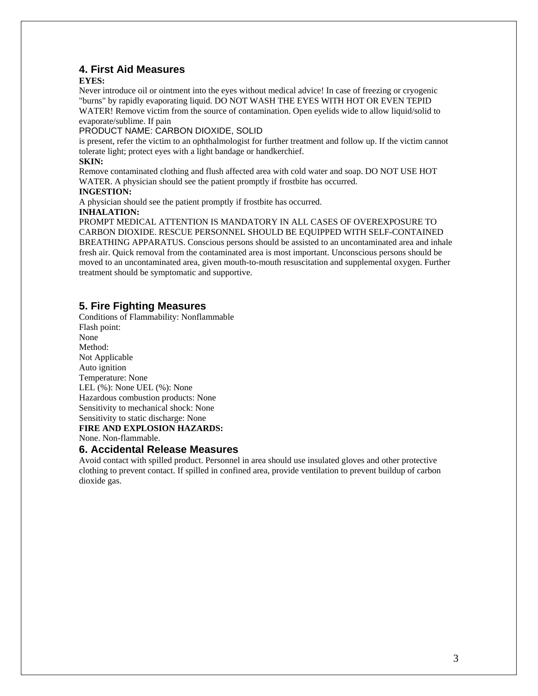# **4. First Aid Measures**

### **EYES:**

Never introduce oil or ointment into the eyes without medical advice! In case of freezing or cryogenic "burns" by rapidly evaporating liquid. DO NOT WASH THE EYES WITH HOT OR EVEN TEPID WATER! Remove victim from the source of contamination. Open eyelids wide to allow liquid/solid to

evaporate/sublime. If pain

## PRODUCT NAME: CARBON DIOXIDE, SOLID

is present, refer the victim to an ophthalmologist for further treatment and follow up. If the victim cannot tolerate light; protect eyes with a light bandage or handkerchief. **SKIN:** 

Remove contaminated clothing and flush affected area with cold water and soap. DO NOT USE HOT WATER. A physician should see the patient promptly if frostbite has occurred.

### **INGESTION:**

A physician should see the patient promptly if frostbite has occurred. **INHALATION:** 

PROMPT MEDICAL ATTENTION IS MANDATORY IN ALL CASES OF OVEREXPOSURE TO CARBON DIOXIDE. RESCUE PERSONNEL SHOULD BE EQUIPPED WITH SELF-CONTAINED BREATHING APPARATUS. Conscious persons should be assisted to an uncontaminated area and inhale fresh air. Quick removal from the contaminated area is most important. Unconscious persons should be moved to an uncontaminated area, given mouth-to-mouth resuscitation and supplemental oxygen. Further treatment should be symptomatic and supportive.

## **5. Fire Fighting Measures**

Conditions of Flammability: Nonflammable Flash point: None Method: Not Applicable Auto ignition Temperature: None LEL (%): None UEL (%): None Hazardous combustion products: None Sensitivity to mechanical shock: None Sensitivity to static discharge: None **FIRE AND EXPLOSION HAZARDS:** 

None. Non-flammable.

## **6. Accidental Release Measures**

Avoid contact with spilled product. Personnel in area should use insulated gloves and other protective clothing to prevent contact. If spilled in confined area, provide ventilation to prevent buildup of carbon dioxide gas.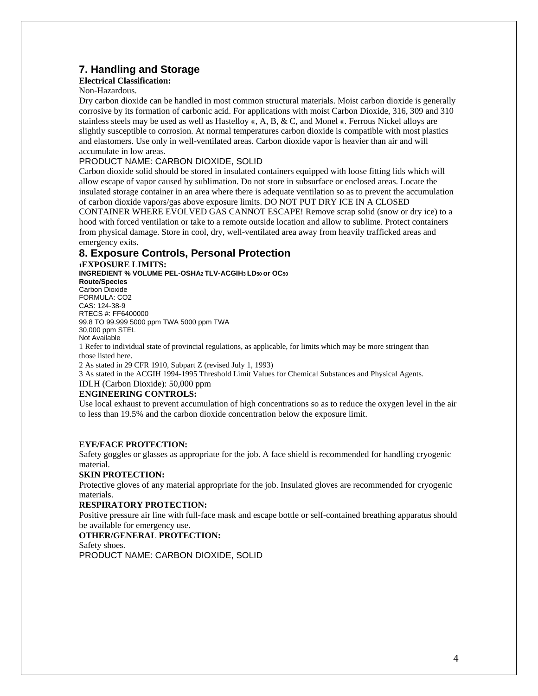# **7. Handling and Storage**

### **Electrical Classification:**

Non-Hazardous.

Dry carbon dioxide can be handled in most common structural materials. Moist carbon dioxide is generally corrosive by its formation of carbonic acid. For applications with moist Carbon Dioxide, 316, 309 and 310 stainless steels may be used as well as Hastelloy ®, A, B, & C, and Monel ®. Ferrous Nickel alloys are slightly susceptible to corrosion. At normal temperatures carbon dioxide is compatible with most plastics and elastomers. Use only in well-ventilated areas. Carbon dioxide vapor is heavier than air and will accumulate in low areas.

## PRODUCT NAME: CARBON DIOXIDE, SOLID

Carbon dioxide solid should be stored in insulated containers equipped with loose fitting lids which will allow escape of vapor caused by sublimation. Do not store in subsurface or enclosed areas. Locate the insulated storage container in an area where there is adequate ventilation so as to prevent the accumulation of carbon dioxide vapors/gas above exposure limits. DO NOT PUT DRY ICE IN A CLOSED CONTAINER WHERE EVOLVED GAS CANNOT ESCAPE! Remove scrap solid (snow or dry ice) to a hood with forced ventilation or take to a remote outside location and allow to sublime. Protect containers from physical damage. Store in cool, dry, well-ventilated area away from heavily trafficked areas and emergency exits.

# **8. Exposure Controls, Personal Protection**

**1EXPOSURE LIMITS: INGREDIENT % VOLUME PEL-OSHA2 TLV-ACGIH3 LD50 or OC50 Route/Species**  Carbon Dioxide FORMULA: CO2 CAS: 124-38-9 RTECS #: FF6400000 99.8 TO 99.999 5000 ppm TWA 5000 ppm TWA 30,000 ppm STEL Not Available 1 Refer to individual state of provincial regulations, as applicable, for limits which may be more stringent than

those listed here. 2 As stated in 29 CFR 1910, Subpart Z (revised July 1, 1993)

3 As stated in the ACGIH 1994-1995 Threshold Limit Values for Chemical Substances and Physical Agents.

IDLH (Carbon Dioxide): 50,000 ppm

### **ENGINEERING CONTROLS:**

Use local exhaust to prevent accumulation of high concentrations so as to reduce the oxygen level in the air to less than 19.5% and the carbon dioxide concentration below the exposure limit.

### **EYE/FACE PROTECTION:**

Safety goggles or glasses as appropriate for the job. A face shield is recommended for handling cryogenic material.

### **SKIN PROTECTION:**

Protective gloves of any material appropriate for the job. Insulated gloves are recommended for cryogenic materials.

### **RESPIRATORY PROTECTION:**

Positive pressure air line with full-face mask and escape bottle or self-contained breathing apparatus should be available for emergency use.

### **OTHER/GENERAL PROTECTION:**

Safety shoes.

PRODUCT NAME: CARBON DIOXIDE, SOLID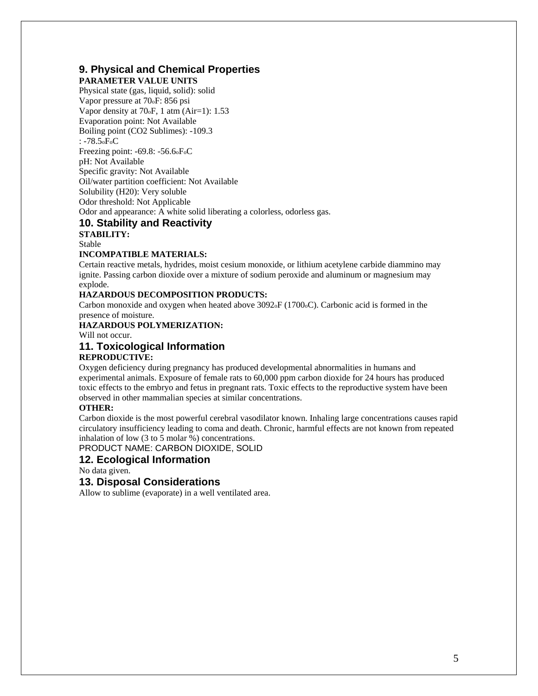# **9. Physical and Chemical Properties**

### **PARAMETER VALUE UNITS**

Physical state (gas, liquid, solid): solid Vapor pressure at 70oF: 856 psi Vapor density at 70oF, 1 atm (Air=1): 1.53 Evaporation point: Not Available Boiling point (CO2 Sublimes): -109.3 : -78.5oFoC Freezing point: -69.8: -56.6oFoC pH: Not Available Specific gravity: Not Available Oil/water partition coefficient: Not Available Solubility (H20): Very soluble Odor threshold: Not Applicable Odor and appearance: A white solid liberating a colorless, odorless gas.

## **10. Stability and Reactivity**

**STABILITY:** 

### Stable

### **INCOMPATIBLE MATERIALS:**

Certain reactive metals, hydrides, moist cesium monoxide, or lithium acetylene carbide diammino may ignite. Passing carbon dioxide over a mixture of sodium peroxide and aluminum or magnesium may explode.

## **HAZARDOUS DECOMPOSITION PRODUCTS:**

Carbon monoxide and oxygen when heated above  $3092\text{eF}$  (1700 $\text{eC}$ ). Carbonic acid is formed in the presence of moisture.

## **HAZARDOUS POLYMERIZATION:**

Will not occur.

### **11. Toxicological Information REPRODUCTIVE:**

Oxygen deficiency during pregnancy has produced developmental abnormalities in humans and experimental animals. Exposure of female rats to 60,000 ppm carbon dioxide for 24 hours has produced toxic effects to the embryo and fetus in pregnant rats. Toxic effects to the reproductive system have been observed in other mammalian species at similar concentrations.

### **OTHER:**

Carbon dioxide is the most powerful cerebral vasodilator known. Inhaling large concentrations causes rapid circulatory insufficiency leading to coma and death. Chronic, harmful effects are not known from repeated inhalation of low (3 to 5 molar %) concentrations.

### PRODUCT NAME: CARBON DIOXIDE, SOLID

## **12. Ecological Information**

No data given.

## **13. Disposal Considerations**

Allow to sublime (evaporate) in a well ventilated area.